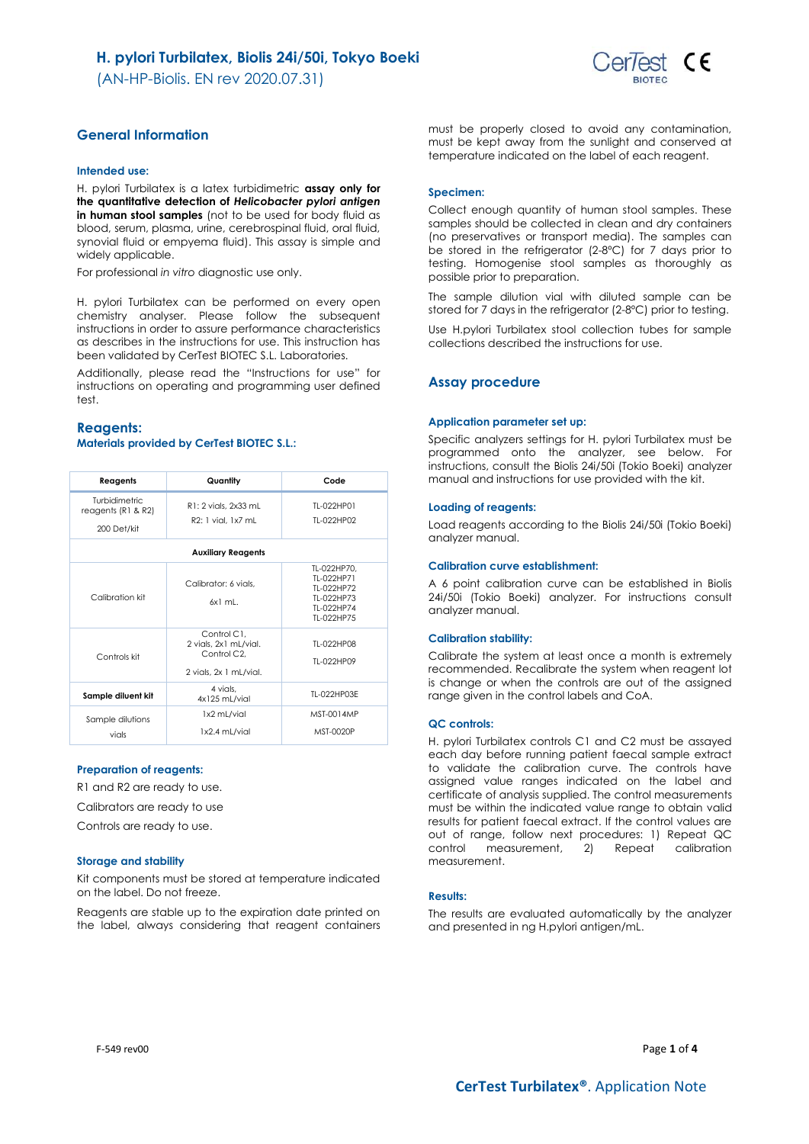(AN-HP-Biolis. EN rev 2020.07.31)



## **General Information**

## **Intended use:**

H. pylori Turbilatex is a latex turbidimetric **assay only for the quantitative detection of** *Helicobacter pylori antigen* **in human stool samples** (not to be used for body fluid as blood, serum, plasma, urine, cerebrospinal fluid, oral fluid, synovial fluid or empyema fluid). This assay is simple and widely applicable.

For professional *in vitro* diagnostic use only.

H. pylori Turbilatex can be performed on every open chemistry analyser. Please follow the subsequent instructions in order to assure performance characteristics as describes in the instructions for use. This instruction has been validated by CerTest BIOTEC S.L. Laboratories.

Additionally, please read the "Instructions for use" for instructions on operating and programming user defined test.

#### **Reagents: Materials provided by CerTest BIOTEC S.L.:**

| Reagents                                                  | Quantity                                                                                   | Code                                                                              |
|-----------------------------------------------------------|--------------------------------------------------------------------------------------------|-----------------------------------------------------------------------------------|
| <b>Turbidimetric</b><br>reagents (R1 & R2)<br>200 Det/kit | R1: 2 vials, 2x33 mL<br>$R2:1$ vial. $1x7$ ml                                              | TI-022HP01<br>TI-022HP02                                                          |
|                                                           | <b>Auxiliary Reagents</b>                                                                  |                                                                                   |
| Calibration kit                                           | Calibrator: 6 vials.<br>$6x1$ ml.                                                          | TL-022HP70.<br>TI-022HP71<br>TI-022HP72<br>TI-022HP73<br>TI-022HP74<br>TI-022HP75 |
| Controls kit                                              | Control C1.<br>2 vials, 2x1 mL/vial.<br>Control C <sub>2</sub> .<br>2 vials, 2x 1 mL/vial. | TI-022HP08<br>TI-022HP09                                                          |
| Sample diluent kit                                        | 4 vials.<br>4x125 mL/vial                                                                  | TI-022HP03F                                                                       |
| Sample dilutions<br>vials                                 | 1x2 mL/vial<br>1x2.4 mL/vial                                                               | MST-0014MP<br>MST-0020P                                                           |

#### **Preparation of reagents:**

R1 and R2 are ready to use.

Calibrators are ready to use

Controls are ready to use.

#### **Storage and stability**

Kit components must be stored at temperature indicated on the label. Do not freeze.

Reagents are stable up to the expiration date printed on the label, always considering that reagent containers must be properly closed to avoid any contamination, must be kept away from the sunlight and conserved at temperature indicated on the label of each reagent.

#### **Specimen:**

Collect enough quantity of human stool samples. These samples should be collected in clean and dry containers (no preservatives or transport media). The samples can be stored in the refrigerator (2-8ºC) for 7 days prior to testing. Homogenise stool samples as thoroughly as possible prior to preparation.

The sample dilution vial with diluted sample can be stored for 7 days in the refrigerator (2-8ºC) prior to testing.

Use H.pylori Turbilatex stool collection tubes for sample collections described the instructions for use.

## **Assay procedure**

#### **Application parameter set up:**

Specific analyzers settings for H. pylori Turbilatex must be programmed onto the analyzer, see below. For instructions, consult the Biolis 24i/50i (Tokio Boeki) analyzer manual and instructions for use provided with the kit.

#### **Loading of reagents:**

Load reagents according to the Biolis 24i/50i (Tokio Boeki) analyzer manual.

#### **Calibration curve establishment:**

A 6 point calibration curve can be established in Biolis 24i/50i (Tokio Boeki) analyzer. For instructions consult analyzer manual.

#### **Calibration stability:**

Calibrate the system at least once a month is extremely recommended. Recalibrate the system when reagent lot is change or when the controls are out of the assigned range given in the control labels and CoA.

#### **QC controls:**

H. pylori Turbilatex controls C1 and C2 must be assayed each day before running patient faecal sample extract to validate the calibration curve. The controls have assigned value ranges indicated on the label and certificate of analysis supplied. The control measurements must be within the indicated value range to obtain valid results for patient faecal extract. If the control values are out of range, follow next procedures: 1) Repeat QC control measurement, 2) Repeat calibration measurement.

#### **Results:**

The results are evaluated automatically by the analyzer and presented in ng H.pylori antigen/mL.

F-549 rev00 Page **1** of **4**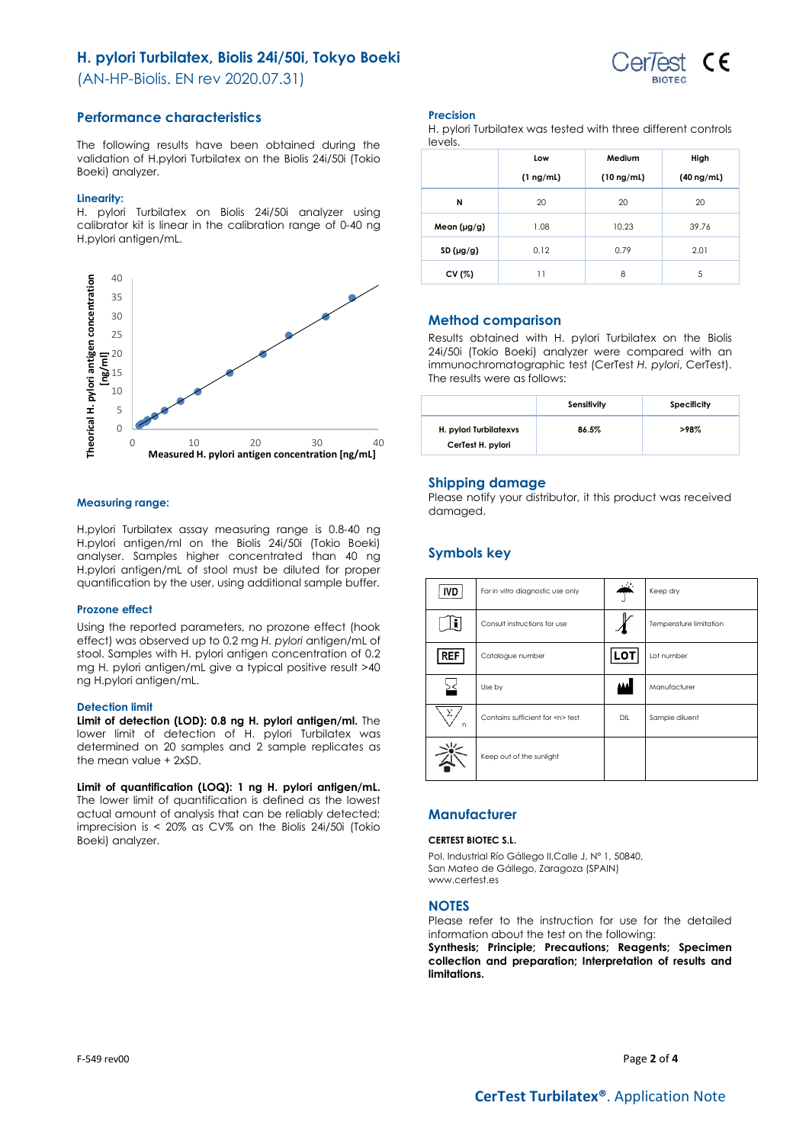## **H. pylori Turbilatex, Biolis 24i/50i, Tokyo Boeki**

(AN-HP-Biolis. EN rev 2020.07.31)



The following results have been obtained during the validation of H.pylori Turbilatex on the Biolis 24i/50i (Tokio Boeki) analyzer.

#### **Linearity:**

H. pylori Turbilatex on Biolis 24i/50i analyzer using calibrator kit is linear in the calibration range of 0-40 ng H.pylori antigen/mL.



#### **Measuring range:**

H.pylori Turbilatex assay measuring range is 0.8-40 ng H.pylori antigen/ml on the Biolis 24i/50i (Tokio Boeki) analyser. Samples higher concentrated than 40 ng H.pylori antigen/mL of stool must be diluted for proper quantification by the user, using additional sample buffer.

#### **Prozone effect**

Using the reported parameters, no prozone effect (hook effect) was observed up to 0.2 mg *H. pylori* antigen/mL of stool. Samples with H. pylori antigen concentration of 0.2 mg H. pylori antigen/mL give a typical positive result >40 ng H.pylori antigen/mL.

#### **Detection limit**

**Limit of detection (LOD): 0.8 ng H. pylori antigen/ml.** The lower limit of detection of H. pylori Turbilatex was determined on 20 samples and 2 sample replicates as the mean value + 2xSD.

**Limit of quantification (LOQ): 1 ng H. pylori antigen/mL.** The lower limit of quantification is defined as the lowest actual amount of analysis that can be reliably detected; imprecision is < 20% as CV% on the Biolis 24i/50i (Tokio Boeki) analyzer.

## **Precision**

H. pylori Turbilatex was tested with three different controls levels.

|                  | Low            | Medium          | High            |
|------------------|----------------|-----------------|-----------------|
|                  | $(1 \nmid mL)$ | $(10 \nmid mL)$ | $(40 \nmid mL)$ |
| N                | 20             | 20              | 20              |
| Mean $(\mu g/g)$ | 1.08           | 10.23           | 39.76           |
| SD(µg/g)         | 0.12           | 0.79            | 2.01            |
| CV (%)           | 11             | 8               | 5               |

## **Method comparison**

Results obtained with H. pylori Turbilatex on the Biolis 24i/50i (Tokio Boeki) analyzer were compared with an immunochromatographic test (CerTest *H. pylori*, CerTest). The results were as follows:

|                                             | Sensitivity | Specificity |
|---------------------------------------------|-------------|-------------|
| H. pylori Turbilatexys<br>CerTest H. pylori | 86.5%       | >98%        |

#### **Shipping damage**

Please notify your distributor, it this product was received damaged.

## **Symbols key**

| <b>IVD</b> | For in vitro diagnostic use only     | w.         | Keep dry               |
|------------|--------------------------------------|------------|------------------------|
|            | Consult instructions for use         |            | Temperature limitation |
| <b>REF</b> | Catalogue number                     | <b>LOT</b> | Lot number             |
|            | Use by                               |            | Manufacturer           |
| Σ<br>n     | Contains sufficient for <n> test</n> | DIL        | Sample diluent         |
|            | Keep out of the sunlight             |            |                        |

## **Manufacturer**

#### **CERTEST BIOTEC S.L.**

Pol. Industrial Río Gállego II,Calle J, Nº 1, 50840, San Mateo de Gállego, Zaragoza (SPAIN) www.certest.es

#### **NOTES**

Please refer to the instruction for use for the detailed information about the test on the following:

**Synthesis; Principle; Precautions; Reagents; Specimen collection and preparation; Interpretation of results and limitations.**

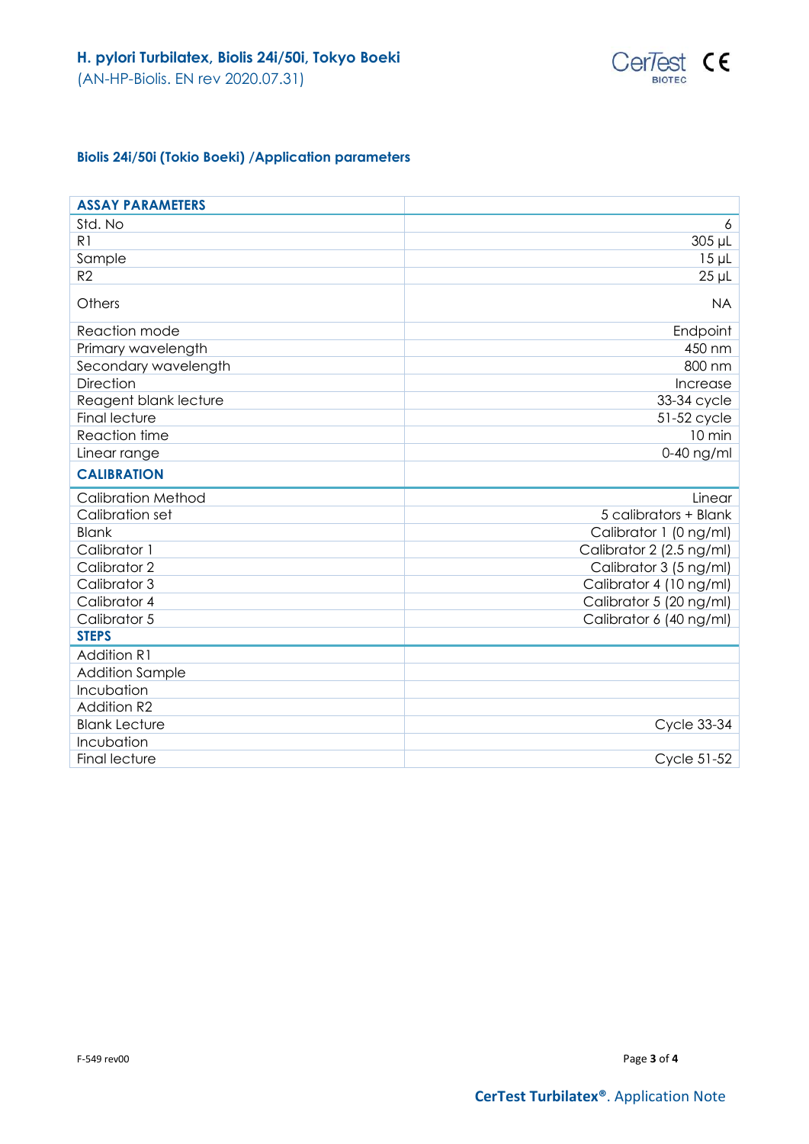

# **Biolis 24i/50i (Tokio Boeki) /Application parameters**

| <b>ASSAY PARAMETERS</b>   |                          |
|---------------------------|--------------------------|
| Std. No                   | 6                        |
| R <sub>1</sub>            | 305 µL                   |
| Sample                    | $15 \mu L$               |
| R <sub>2</sub>            | $25 \mu L$               |
| Others                    | <b>NA</b>                |
| Reaction mode             | Endpoint                 |
| Primary wavelength        | 450 nm                   |
| Secondary wavelength      | 800 nm                   |
| <b>Direction</b>          | Increase                 |
| Reagent blank lecture     | 33-34 cycle              |
| <b>Final lecture</b>      | 51-52 cycle              |
| Reaction time             | 10 min                   |
| Linear range              | $0-40$ ng/ml             |
| <b>CALIBRATION</b>        |                          |
|                           |                          |
| <b>Calibration Method</b> | Linear                   |
| Calibration set           | 5 calibrators + Blank    |
| <b>Blank</b>              | Calibrator 1 (0 ng/ml)   |
| Calibrator 1              | Calibrator 2 (2.5 ng/ml) |
| Calibrator 2              | Calibrator 3 (5 ng/ml)   |
| Calibrator 3              | Calibrator 4 (10 ng/ml)  |
| Calibrator 4              | Calibrator 5 (20 ng/ml)  |
| Calibrator 5              | Calibrator 6 (40 ng/ml)  |
| <b>STEPS</b>              |                          |
| <b>Addition R1</b>        |                          |
| <b>Addition Sample</b>    |                          |
| Incubation                |                          |
| <b>Addition R2</b>        |                          |
| <b>Blank Lecture</b>      | <b>Cycle 33-34</b>       |
| Incubation                |                          |